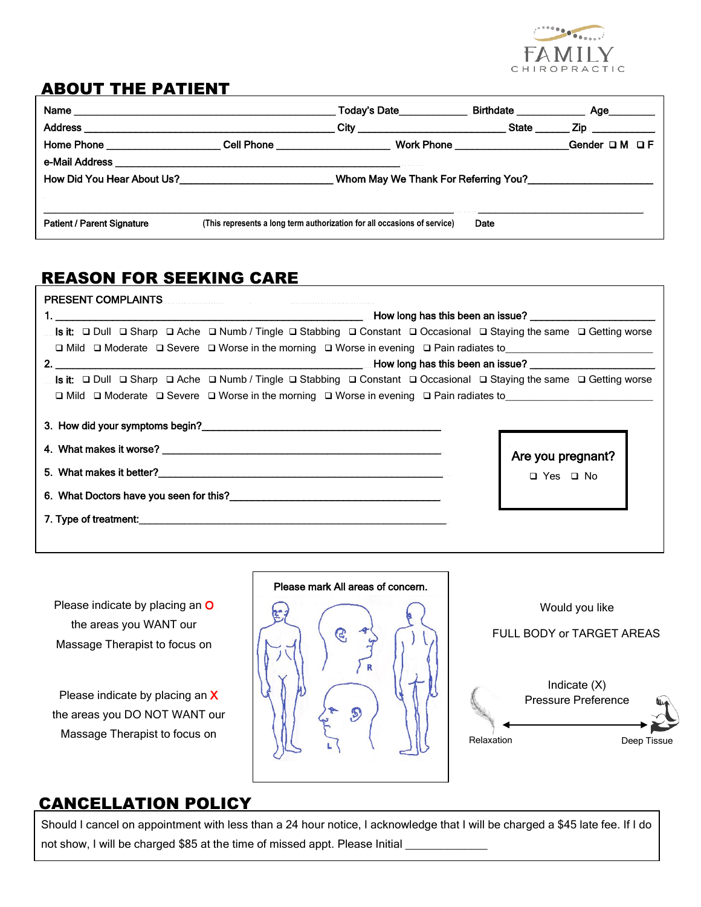

### ABOUT THE PATIENT

|                                                                                       | State                                                                                                  | _ Zip ____________                                                                                              |  |  |
|---------------------------------------------------------------------------------------|--------------------------------------------------------------------------------------------------------|-----------------------------------------------------------------------------------------------------------------|--|--|
|                                                                                       |                                                                                                        | Gender DM DF                                                                                                    |  |  |
|                                                                                       |                                                                                                        |                                                                                                                 |  |  |
| Whom May We Thank For Referring You?<br>Superstandard May We Thank For Referring You? |                                                                                                        |                                                                                                                 |  |  |
|                                                                                       |                                                                                                        |                                                                                                                 |  |  |
|                                                                                       | Date                                                                                                   |                                                                                                                 |  |  |
|                                                                                       | How Did You Hear About Us?<br>(This represents a long term authorization for all occasions of service) | Today's Date____________<br><u>City __________________________________</u><br>Work Phone ______________________ |  |  |

# REASON FOR SEEKING CARE

| <b>PRESENT COMPLAINTS</b>                                                                                                                                       |                                 |  |  |  |
|-----------------------------------------------------------------------------------------------------------------------------------------------------------------|---------------------------------|--|--|--|
|                                                                                                                                                                 |                                 |  |  |  |
| Is it: $\Box$ Dull $\Box$ Sharp $\Box$ Ache $\Box$ Numb / Tingle $\Box$ Stabbing $\Box$ Constant $\Box$ Occasional $\Box$ Staying the same $\Box$ Getting worse |                                 |  |  |  |
| $\Box$ Mild $\Box$ Moderate $\Box$ Severe $\Box$ Worse in the morning $\Box$ Worse in evening $\Box$ Pain radiates to                                           |                                 |  |  |  |
|                                                                                                                                                                 |                                 |  |  |  |
| Is it: $\Box$ Dull $\Box$ Sharp $\Box$ Ache $\Box$ Numb / Tingle $\Box$ Stabbing $\Box$ Constant $\Box$ Occasional $\Box$ Staying the same $\Box$ Getting worse |                                 |  |  |  |
| $\Box$ Mild $\Box$ Moderate $\Box$ Severe $\Box$ Worse in the morning $\Box$ Worse in evening $\Box$ Pain radiates to                                           |                                 |  |  |  |
|                                                                                                                                                                 | Are you pregnant?<br>□ Yes □ No |  |  |  |
|                                                                                                                                                                 |                                 |  |  |  |

Please indicate by placing an O the areas you WANT our Massage Therapist to focus on

Please indicate by placing an X the areas you DO NOT WANT our Massage Therapist to focus on





#### CANCELLATION POLICY

Should I cancel on appointment with less than a 24 hour notice, I acknowledge that I will be charged a \$45 late fee. If I do not show, I will be charged \$85 at the time of missed appt. Please Initial \_